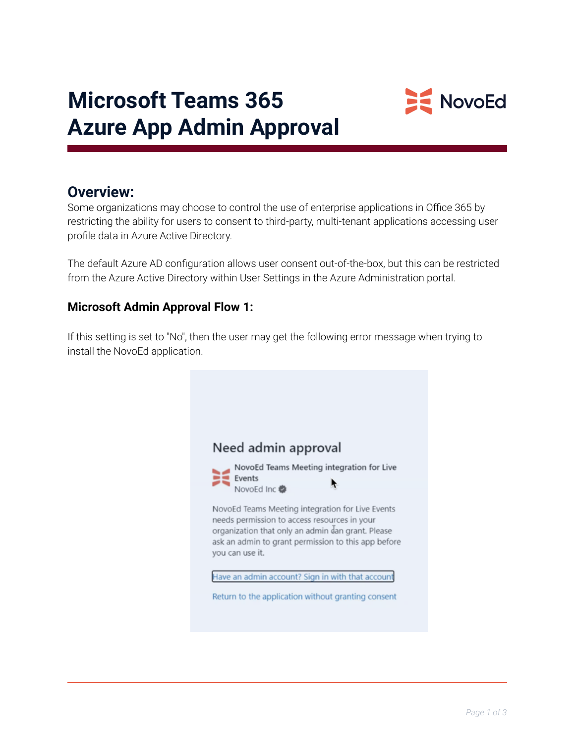

## **Microsoft Teams 365 Azure App Admin Approval**

## **Overview:**

Some organizations may choose to control the use of enterprise applications in Office 365 by restricting the ability for users to consent to third-party, multi-tenant applications accessing user profile data in Azure Active Directory.

The default Azure AD configuration allows user consent out-of-the-box, but this can be restricted from the Azure Active Directory within User Settings in the Azure Administration portal.

## **Microsoft Admin Approval Flow 1:**

If this setting is set to "No", then the user may get the following error message when trying to install the NovoEd application.

| Need admin approval                                                                                                                                                                                                             |
|---------------------------------------------------------------------------------------------------------------------------------------------------------------------------------------------------------------------------------|
| NovoEd Teams Meeting integration for Live<br>Events<br>NovoEd Inc                                                                                                                                                               |
| NovoEd Teams Meeting integration for Live Events<br>needs permission to access resources in your<br>organization that only an admin dan grant. Please<br>ask an admin to grant permission to this app before<br>you can use it. |
| Have an admin account? Sign in with that account                                                                                                                                                                                |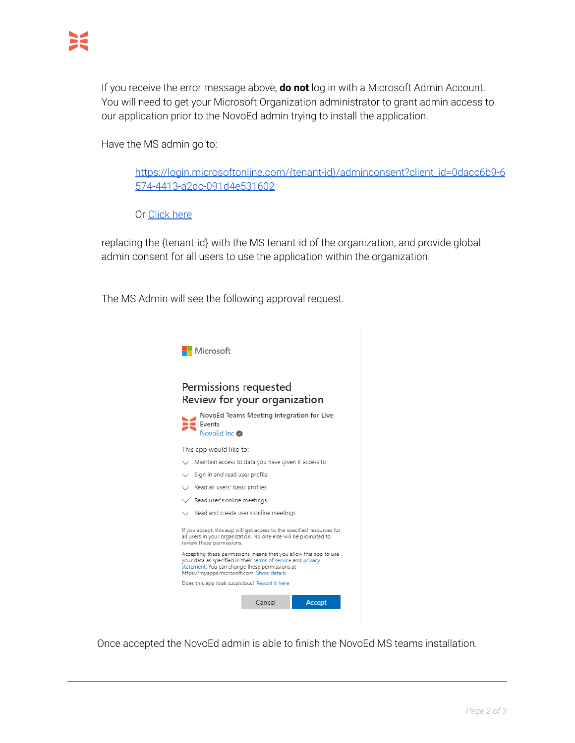If you receive the error message above, **do not** log in with a Microsoft Admin Account. You will need to get your Microsoft Organization administrator to grant admin access to our application prior to the NovoEd admin trying to install the application.

Have the MS admin go to:

[https://login.microsoftonline.com/{tenant-id}/adminconsent?client\\_id=0dacc6b9-6](https://login.microsoftonline.com/%7Btenant-id%7D/adminconsent?client_id=0dacc6b9-6574-4413-a2dc-091d4e531602) [574-4413-a2dc-091d4e531602](https://login.microsoftonline.com/%7Btenant-id%7D/adminconsent?client_id=0dacc6b9-6574-4413-a2dc-091d4e531602)

Or [Click](https://login.microsoftonline.com/%7Btenant-id%7D/adminconsent?client_id=0dacc6b9-6574-4413-a2dc-091d4e531602) here

replacing the {tenant-id} with the MS tenant-id of the organization, and provide global admin consent for all users to use the application within the organization.

The MS Admin will see the following approval request.



Once accepted the NovoEd admin is able to finish the NovoEd MS teams installation.